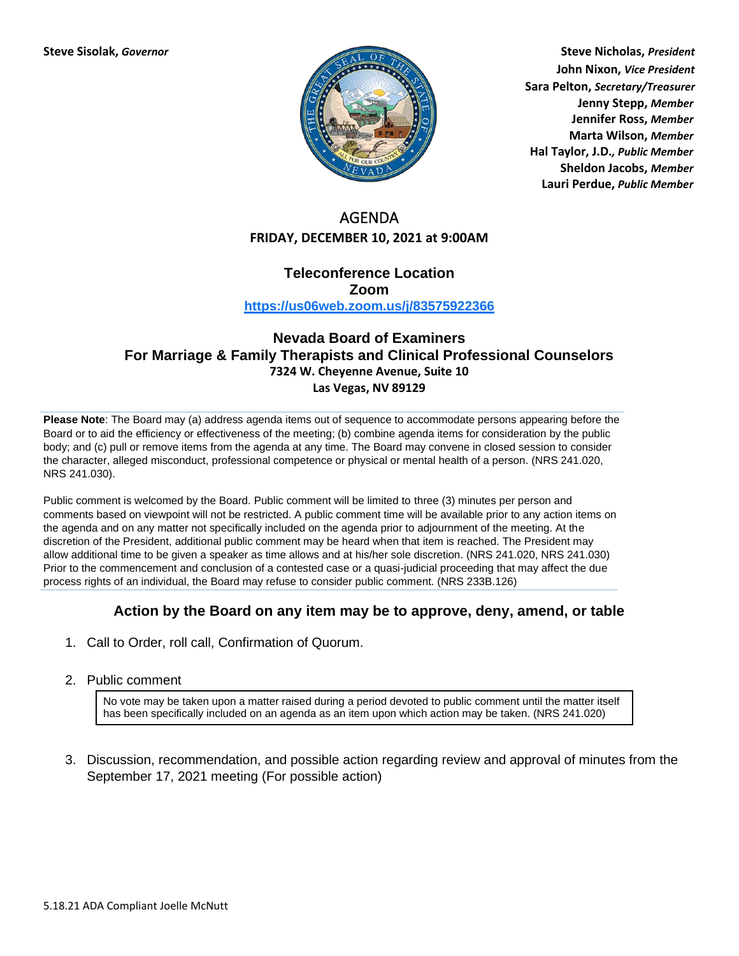

**Steve Sisolak,** *Governor* **Steve Nicholas,** *President* **John Nixon,** *Vice President* **Sara Pelton,** *Secretary/Treasurer* **Jenny Stepp,** *Member* **Jennifer Ross,** *Member* **Marta Wilson,** *Member* **Hal Taylor, J.D.***, Public Member* **Sheldon Jacobs,** *Member* **Lauri Perdue,** *Public Member*

# AGENDA **FRIDAY, DECEMBER 10, 2021 at 9:00AM**

### **Teleconference Location Zoom <https://us06web.zoom.us/j/83575922366>**

## **Nevada Board of Examiners For Marriage & Family Therapists and Clinical Professional Counselors 7324 W. Cheyenne Avenue, Suite 10 Las Vegas, NV 89129**

**Please Note**: The Board may (a) address agenda items out of sequence to accommodate persons appearing before the Board or to aid the efficiency or effectiveness of the meeting; (b) combine agenda items for consideration by the public body; and (c) pull or remove items from the agenda at any time. The Board may convene in closed session to consider the character, alleged misconduct, professional competence or physical or mental health of a person. (NRS 241.020, NRS 241.030).

Public comment is welcomed by the Board. Public comment will be limited to three (3) minutes per person and comments based on viewpoint will not be restricted. A public comment time will be available prior to any action items on the agenda and on any matter not specifically included on the agenda prior to adjournment of the meeting. At the discretion of the President, additional public comment may be heard when that item is reached. The President may allow additional time to be given a speaker as time allows and at his/her sole discretion. (NRS 241.020, NRS 241.030) Prior to the commencement and conclusion of a contested case or a quasi-judicial proceeding that may affect the due process rights of an individual, the Board may refuse to consider public comment. (NRS 233B.126)

## **Action by the Board on any item may be to approve, deny, amend, or table**

- 1. Call to Order, roll call, Confirmation of Quorum.
- 2. Public comment

No vote may be taken upon a matter raised during a period devoted to public comment until the matter itself has been specifically included on an agenda as an item upon which action may be taken. (NRS 241.020)

3. Discussion, recommendation, and possible action regarding review and approval of minutes from the September 17, 2021 meeting (For possible action)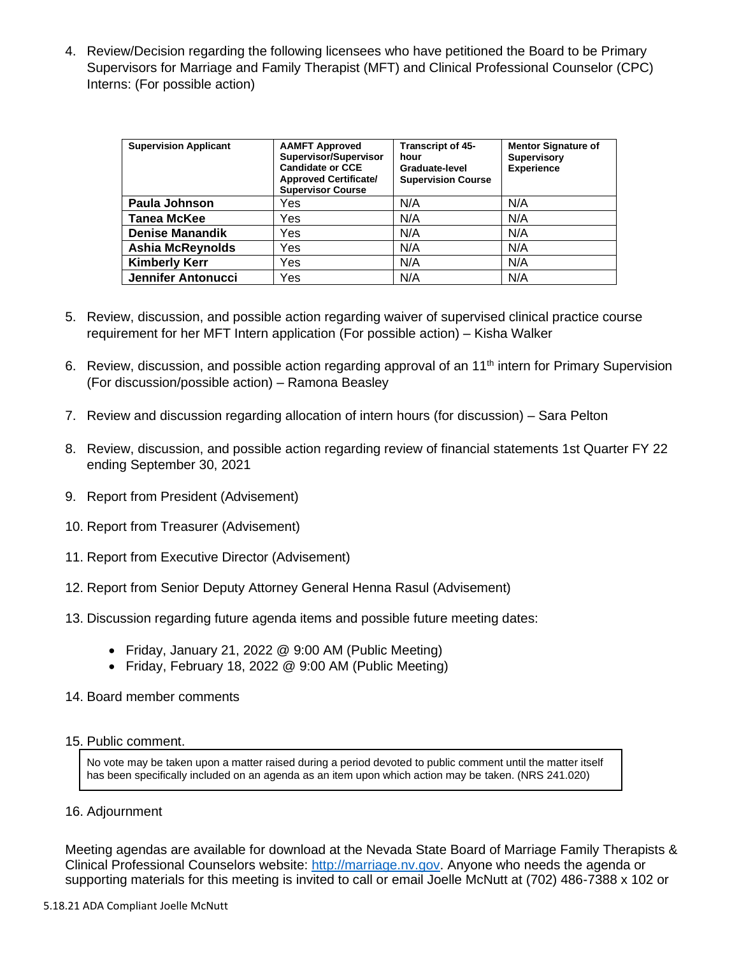4. Review/Decision regarding the following licensees who have petitioned the Board to be Primary Supervisors for Marriage and Family Therapist (MFT) and Clinical Professional Counselor (CPC) Interns: (For possible action)

| <b>Supervision Applicant</b> | <b>AAMFT Approved</b><br>Supervisor/Supervisor<br><b>Candidate or CCE</b><br><b>Approved Certificate/</b><br><b>Supervisor Course</b> | <b>Transcript of 45-</b><br>hour<br>Graduate-level<br><b>Supervision Course</b> | <b>Mentor Signature of</b><br><b>Supervisory</b><br><b>Experience</b> |
|------------------------------|---------------------------------------------------------------------------------------------------------------------------------------|---------------------------------------------------------------------------------|-----------------------------------------------------------------------|
| Paula Johnson                | Yes                                                                                                                                   | N/A                                                                             | N/A                                                                   |
| <b>Tanea McKee</b>           | Yes                                                                                                                                   | N/A                                                                             | N/A                                                                   |
| <b>Denise Manandik</b>       | Yes                                                                                                                                   | N/A                                                                             | N/A                                                                   |
| <b>Ashia McReynolds</b>      | Yes                                                                                                                                   | N/A                                                                             | N/A                                                                   |
| <b>Kimberly Kerr</b>         | Yes                                                                                                                                   | N/A                                                                             | N/A                                                                   |
| <b>Jennifer Antonucci</b>    | Yes                                                                                                                                   | N/A                                                                             | N/A                                                                   |

- 5. Review, discussion, and possible action regarding waiver of supervised clinical practice course requirement for her MFT Intern application (For possible action) – Kisha Walker
- 6. Review, discussion, and possible action regarding approval of an 11<sup>th</sup> intern for Primary Supervision (For discussion/possible action) – Ramona Beasley
- 7. Review and discussion regarding allocation of intern hours (for discussion) Sara Pelton
- 8. Review, discussion, and possible action regarding review of financial statements 1st Quarter FY 22 ending September 30, 2021
- 9. Report from President (Advisement)
- 10. Report from Treasurer (Advisement)
- 11. Report from Executive Director (Advisement)
- 12. Report from Senior Deputy Attorney General Henna Rasul (Advisement)
- 13. Discussion regarding future agenda items and possible future meeting dates:
	- Friday, January 21, 2022 @ 9:00 AM (Public Meeting)
	- Friday, February 18, 2022 @ 9:00 AM (Public Meeting)
- 14. Board member comments

### 15. Public comment.

No vote may be taken upon a matter raised during a period devoted to public comment until the matter itself has been specifically included on an agenda as an item upon which action may be taken. (NRS 241.020)

### 16. Adjournment

Meeting agendas are available for download at the Nevada State Board of Marriage Family Therapists & Clinical Professional Counselors website: [http://marriage.nv.gov.](http://marriage.nv.gov/) Anyone who needs the agenda or supporting materials for this meeting is invited to call or email Joelle McNutt at (702) 486-7388 x 102 or